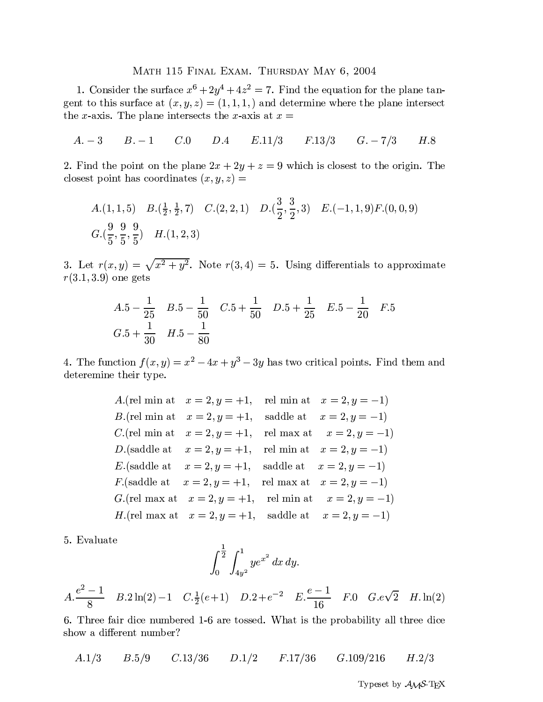## MATH 115 FINAL EXAM. THURSDAY MAY 6, 2004

1. Consider the surface  $x^6 + 2y^4 + 4z^2 = 7$ . Find the equation for the plane tangent to this surface at  $(x, y, z) = (1, 1, 1, 1)$  and determine where the plane intersect the x-axis. The plane intersects the x-axis at  $x =$ 

$$
A. -3 \qquad B. -1 \qquad C.0 \qquad D.4 \qquad E.11/3 \qquad F.13/3 \qquad G. -7/3 \qquad H.8
$$

2. Find the point on the plane  $2x + 2y + z = 9$  which is closest to the origin. The closest point has coordinates  $(x, y, z) =$ 

A.(1, 1, 5) 
$$
B.(\frac{1}{2}, \frac{1}{2}, 7)
$$
  $C.(2, 2, 1)$   $D.(\frac{3}{2}, \frac{3}{2}, 3)$   $E.(-1, 1, 9)F.(0, 0, 9)$   
 $G.(\frac{9}{5}, \frac{9}{5}, \frac{9}{5})$   $H.(1, 2, 3)$ 

3. Let  $r(x, y) = \sqrt{x^2 + y^2}$ . Note  $r(3, 4) = 5$ . Using differentials to approximate  $r(3.1, 3.9)$  one gets

$$
A.5 - \frac{1}{25} \quad B.5 - \frac{1}{50} \quad C.5 + \frac{1}{50} \quad D.5 + \frac{1}{25} \quad E.5 - \frac{1}{20} \quad F.5
$$
  

$$
G.5 + \frac{1}{30} \quad H.5 - \frac{1}{80}
$$

4. The function  $f(x, y) = x^2 - 4x + y^3 - 3y$  has two critical points. Find them and deteremine their type.

> A. (rel min at  $x = 2, y = +1$ , rel min at  $x = 2, y = -1$ ) *B*.(rel min at  $x = 2, y = +1$ , saddle at  $x = 2, y = -1$ ) *C*.(rel min at  $x = 2, y = +1$ , rel max at  $x = 2, y = -1$ ) *D*.(saddle at  $x = 2, y = +1$ , rel min at  $x = 2, y = -1$ ) E.(saddle at  $x = 2, y = +1$ , saddle at  $x = 2, y = -1$ ) *F*.(saddle at  $x = 2, y = +1$ , rel max at  $x = 2, y = -1$ ) G.(rel max at  $x = 2, y = +1$ , rel min at  $x = 2, y = -1$ ) *H*.(rel max at  $x = 2, y = +1$ , saddle at  $x = 2, y = -1$ )

5. Evaluate

$$
\int_0^{\frac{1}{2}} \int_{4y^2}^1 ye^{x^2} dx dy.
$$

$$
A.\frac{e^2 - 1}{8} \quad B.2\ln(2) - 1 \quad C.\frac{1}{2}(e+1) \quad D.2 + e^{-2} \quad E.\frac{e-1}{16} \quad F.0 \quad G.e\sqrt{2} \quad H. \ln(2)
$$

6. Three fair dice numbered 1-6 are tossed. What is the probability all three dice show a different number?

 $A.1/3$  $B.5/9$  $C.13/36$   $D.1/2$  $F.17/36$  $G.109/216$  $H.2/3$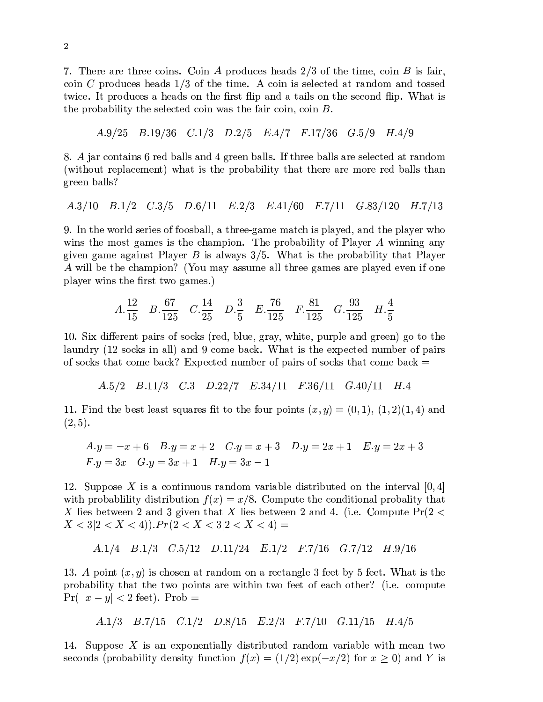[]2mC>@?v>bG3?;>AcC?;>@>zIJ68:`79@2£4B68:|7 f?;6/</EaIJ>J9C>eG8</9Q] 68F5AcC>lAc:`y>-IJ68:`7 :`9FHG3:`? IJ68:|7- f?v6/</EaIJ>@9C>@G8</91 68F5A;C>zAc:`y>32 IJ68:`7 :|9o9;>Jg`>eIwA;>e< GTA?cG37a</68y G37a< Ac689;9v>e< A¯{h:`IJ>32~ADf?;6/</EaIw>@9LGbC>eG8</9D687AcC> ?v9vA :`fRG37a<RGzAiG3:|g`9687AcC>9;>eIw687a< :|f2mÁ'CaGTAL:`9 the probability the selected coin was the fair coin, coin  $B$ .

&TQ8 1e& <sup>½</sup> 1 Q]T V(8[ m 1[8 <sup>½</sup> l ]  V(

 <sup>2</sup> G3?5IJ687]AcG3:`79B½?;>e<b¿aG3g`g|95G37a<bV k?;>@>@7¿aG3g|g`9@2¯FAcC?v>@>h¿aG3g|g`9BG3?v>h9;>@g|>eIwAc>@<GTA5?cG37a</68y (without replacement) what is the probability that there are more red balls than green balls?

&1 1TQ T ½&&181 Q] Va1½ [8&181 8 &1\$Q R[8&1

/2¯7bAcC>{B68?;g=<z9v>@?;:`>J9B68FF6(689v¿aG3g`g]GAcC?v>@>wj kG3y>ZybGTAcIiCz:`95fg`G\$° >@<(G37a<zAcC>fg=Ge° >@?{C6  $\cdot$  and  $\cdot$  in the form interval and  $\cdot$  for  $\cdot$  and  $\cdot$  for  $\cdot$  for  $\cdot$  for  $\cdot$ k:|³ >J7 kG3yz>£GkG3:`79ÊA 5g`G\$° >J? :`9lG3g|{G\$°(9 T(2xÁ'CaGTA:`9A;C>bf?;68¿aG3¿:`g|:|A¯° A;CaGTA5g`G\$° >@? {:`g`g¿s>AcC>lIcCaG3yzf:`687sÃ n568EybGe°G39v9;Eyz>lG3g|gAcC?;>J> kG3yz>@9LG3?v>fg=Ge° >e<>J³ >@7R:|F-687>  $\frac{1}{2}$   $\frac{1}{2}$   $\frac{1}{2}$   $\frac{1}{2}$   $\frac{1}{2}$   $\frac{1}{2}$   $\frac{1}{2}$   $\frac{1}{2}$   $\frac{1}{2}$   $\frac{1}{2}$   $\frac{1}{2}$   $\frac{1}{2}$   $\frac{1}{2}$   $\frac{1}{2}$   $\frac{1}{2}$   $\frac{1}{2}$   $\frac{1}{2}$   $\frac{1}{2}$   $\frac{1}{2}$   $\frac{1}{2}$   $\frac{1}{2}$   $\frac{1}{2}$ 

$$
A.\frac{12}{15} \quad B.\frac{67}{125} \quad C.\frac{14}{25} \quad D.\frac{3}{5} \quad E.\frac{76}{125} \quad F.\frac{81}{125} \quad G.\frac{93}{125} \quad H.\frac{4}{5}
$$

<sup>1</sup> 2(:</:|ªs>@?v>@7]AZfaG3:`?;968F-9;6/I(9np?;>e<a¿g`E> k?cGe°/{hC:Ac>-afE?;fg`>G37a< k?;>@>@7st k6zAc6A;C> laundry (12 socks in all) and 9 come back. What is the expected number of pairs of socks that come back? Expected number of pairs of socks that come back  $=$ 

$$
A.5/2
$$
  $B.11/3$   $C.3$   $D.22/7$   $E.34/11$   $F.36/11$   $G.40/11$   $H.4$ 

18132\_^-:`7a<£AcC>L¿s>@9vAg`>@G39vAm9cd&EaG3?;>J9 /AAc6lAcC>F68E?mfN68:`7 Ac9onpKrq;Sat-Y <sup>n</sup> qe1t}qrnv18qiQ]twnv18q;V(t-G37a<  $(2,5).$ 

$$
A.y = -x + 6 \quad B.y = x + 2 \quad C.y = x + 3 \quad D.y = 2x + 1 \quad E.y = 2x + 3
$$
  

$$
F.y = 3x \quad G.y = 3x + 1 \quad H.y = 3x - 1
$$

1\$Q(2!(EffN689;>#" :`9GIJ687 Ac:|7&E68E9l?cG37a</68y ³TG3?;:`G3¿g`></:|9vAc?;:|¿E/Ac>e< <sup>687</sup> AcC>:`7 Ac>@?ʳ3G3g\$ q;V% with probability distribution  $f(x) = x/8$ . Compute the conditional probality that  $V$  ii ala $S$  af  $W$  iii) ala $A$   $A$   $C$   $A$   $D$   $A$  $X < 3|2 < X < 4$ ).  $Pr(2 < X < 3|2 < X < 4)$  =

$$
A.1/4 \quad B.1/3 \quad C.5/12 \quad D.11/24 \quad E.1/2 \quad F.7/16 \quad G.7/12 \quad H.9/16
$$

1 and the set of the Indeed Property in the INSTERNATION of the INSTERNATION of the INSTERNATION of the INSTERN frobability that the two points are within two feet of each other? (i.e. compute  $\Pr(|x-y| < 2 \text{ feet})$ .  $\text{Prob} =$ 

$$
A.1/3 \quad B.7/15 \quad C.1/2 \quad D.8/15 \quad E.2/3 \quad F.7/10 \quad G.11/15 \quad H.4/5
$$

 $\cdots$  . The same  $\cdots$  is the same  $\cdots$  and  $\cdots$ seconds (probability density function  $f(x) = (1/2) \exp(-x/2)$  for  $x \ge 0$ ) and Y is